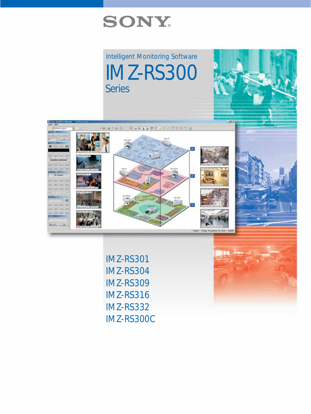

Intelligent Monitoring Software IMZ-RS300 **Series** 



IMZ-RS301 IMZ-RS304 IMZ-RS309 IMZ-RS316 IMZ-RS332 IMZ-RS300C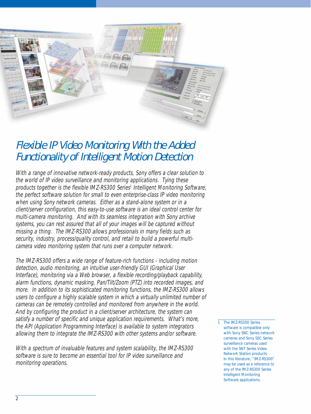

# Flexible IP Video Monitoring With the Added Functionality of Intelligent Motion Detection

With a range of innovative network-ready products, Sony offers a clear solution to the world of IP video surveillance and monitoring applications. Tying these products together is the flexible IMZ-RS300 Series<sup>1</sup> Intelligent Monitoring Software, the perfect software solution for small to even enterprise-class IP video monitoring when using Sony network cameras. Either as a stand-alone system or in a client/server configuration, this easy-to-use software is an ideal control center for multi-camera monitoring. And with its seamless integration with Sony archive systems, you can rest assured that all of your images will be captured without missing a thing. The IMZ-RS300 allows professionals in many fields such as security, industry, process/quality control, and retail to build a powerful multicamera video monitoring system that runs over a computer network.

The IMZ-RS300 offers a wide range of feature-rich functions - including motion detection, audio monitoring, an intuitive user-friendly GUI (Graphical User Interface), monitoring via a Web browser, a flexible recording/playback capability, alarm functions, dynamic masking, Pan/Tilt/Zoom (PTZ) into recorded images, and more. In addition to its sophisticated monitoring functions, the IMZ-RS300 allows users to configure a highly scalable system in which a virtually unlimited number of cameras can be remotely controlled and monitored from anywhere in the world. And by configuring the product in a client/server architecture, the system can satisfy a number of specific and unique application requirements. What's more, the API (Application Programming Interface) is available to system integrators allowing them to integrate the IMZ-RS300 with other systems and/or software.

With a spectrum of invaluable features and system scalability, the IMZ-RS300 software is sure to become an essential tool for IP video surveillance and monitoring operations.

1 The IMZ-RS300 Series software is compatible only with Sony SNC Series network cameras and Sony SSC Series surveillance cameras used with the SNT Series Video Network Station products. In this literature, "IMZ-RS300" may be used as a reference to any of the IMZ-RS300 Series Intelligent Monitoring Software applications.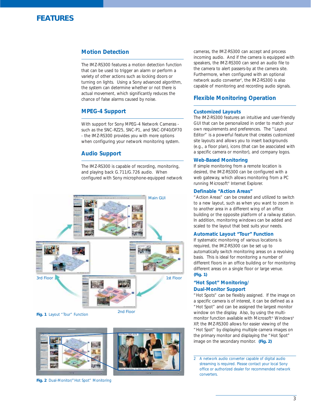

### **Motion Detection**

The IMZ-RS300 features a motion detection function that can be used to trigger an alarm or perform a variety of other actions such as locking doors or turning on lights. Using a Sony advanced algorithm, the system can determine whether or not there is actual movement, which significantly reduces the chance of false alarms caused by noise.

### **MPEG-4 Support**

With support for Sony MPEG-4 Network Cameras such as the SNC-RZ25, SNC-P1, and SNC-DF40/DF70 - the IMZ-RS300 provides you with more options when configuring your network monitoring system.

### **Audio Support**

The IMZ-RS300 is capable of recording, monitoring, and playing back G.711/G.726 audio. When configured with Sony microphone-equipped network



**Fig. 1** Layout "Tour" Function



**Fig. 2** Dual-Monitor/" Hot Spot" Monitoring

cameras, the IMZ-RS300 can accept and process incoming audio. And if the camera is equipped with speakers, the IMZ-RS300 can send an audio file to the camera to alert passers-by at the camera site. Furthermore, when configured with an optional network audio converter<sup>2</sup>, the IMZ-RS300 is also capable of monitoring and recording audio signals.

### **Flexible Monitoring Operation**

### **Customized Layouts**

The IMZ-RS300 features an intuitive and user-friendly GUI that can be personalized in order to match your own requirements and preferences. The "Layout Editor" is a powerful feature that creates customized site layouts and allows you to insert backgrounds (e.g., a floor plan), icons (that can be associated with a specific camera or monitor), and company logos.

#### **Web-Based Monitoring**

If simple monitoring from a remote location is desired, the IMZ-RS300 can be configured with a web gateway, which allows monitoring from a PC running Microsoft® Internet Explorer.

### **Definable "Action Areas"**

"Action Areas" can be created and utilized to switch to a new layout, such as when you want to zoom in to another area in a different wing of an office building or the opposite platform of a railway station. In addition, monitoring windows can be added and scaled to the layout that best suits your needs.

### **Automatic Layout "Tour" Function**

If systematic monitoring of various locations is required, the IMZ-RS300 can be set up to automatically switch monitoring areas on a revolving basis. This is ideal for monitoring a number of different floors in an office building or for monitoring different areas on a single floor or large venue. *(Fig. 1)*

### **"Hot Spot" Monitoring/ Dual-Monitor Support**

"Hot Spots" can be flexibly assigned. If the image on a specific camera is of interest, it can be defined as a "Hot Spot" and can be assigned the largest monitor window on the display. Also, by using the multimonitor function available with Microsoft® Windows® XP, the IMZ-RS300 allows for easier viewing of the "Hot Spot" by displaying multiple camera images on the primary monitor and displaying the "Hot Spot" image on the secondary monitor. *(Fig. 2)*

<sup>2</sup> A network audio converter capable of digital audio streaming is required. Please contact your local Sony office or authorized dealer for recommended network converters.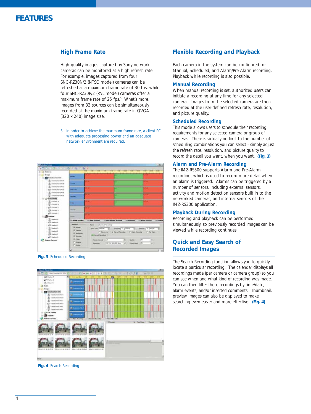

### **High Frame Rate**

High-quality images captured by Sony network cameras can be monitored at a high refresh rate. For example, images captured from four SNC-RZ30N/2 (NTSC model) cameras can be refreshed at a maximum frame rate of 30 fps, while four SNC-RZ30P/2 (PAL model) cameras offer a maximum frame rate of 25 fps.<sup>3</sup> What's more, images from 32 sources can be simultaneously recorded at the maximum frame rate in QVGA (320 x 240) image size.

3 In order to achieve the maximum frame rate, a client PC with adequate processing power and an adequate network environment are required.



*Fig. 3* Scheduled Recording



*Fig. 4* Search Recording

### **Flexible Recording and Playback**

Each camera in the system can be configured for Manual, Scheduled, and Alarm/Pre-Alarm recording. Playback while recording is also possible.

### **Manual Recording**

When manual recording is set, authorized users can initiate a recording at any time for any selected camera. Images from the selected camera are then recorded at the user-defined refresh rate, resolution, and picture quality.

### **Scheduled Recording**

This mode allows users to schedule their recording requirements for any selected camera or group of cameras. There is virtually no limit to the number of scheduling combinations you can select - simply adjust the refresh rate, resolution, and picture quality to record the detail you want, when you want. *(Fig. 3)*

#### **Alarm and Pre-Alarm Recording**

The IMZ-RS300 supports Alarm and Pre-Alarm recording, which is used to record more detail when an alarm is triggered. Alarms can be triggered by a number of sensors, including external sensors, activity and motion detection sensors built in to the networked cameras, and internal sensors of the IMZ-RS300 application.

### **Playback During Recording**

Recording and playback can be performed simultaneously, so previously recorded images can be viewed while recording continues.

### **Quick and Easy Search of Recorded Images**

The Search Recording function allows you to quickly locate a particular recording. The calendar displays all recordings made (per camera or camera group) so you can see when and what kind of recording was made. You can then filter these recordings by time/date, alarm events, and/or inserted comments. Thumbnail, preview images can also be displayed to make searching even easier and more effective. *(Fig. 4)*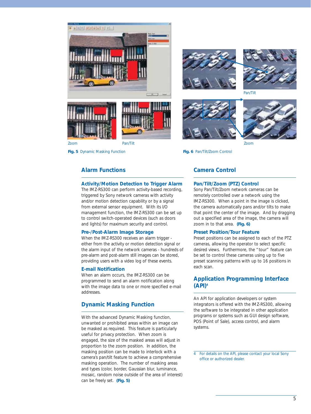

*Fig. 5* Dynamic Masking Function *Fig. 6* Pan/Tilt/Zoom Control





Pan/Tilt

▲ ▲



### **Alarm Functions**

### **Activity/Motion Detection to Trigger Alarm**

The IMZ-RS300 can perform activity-based recording, triggered by Sony network cameras with activity and/or motion detection capability or by a signal from external sensor equipment. With its I/O management function, the IMZ-RS300 can be set up to control switch-operated devices (such as doors and lights) for maximum security and control.

### **Pre-/Post-Alarm Image Storage**

When the IMZ-RS300 receives an alarm trigger either from the activity or motion detection signal or the alarm input of the network cameras - hundreds of pre-alarm and post-alarm still images can be stored, providing users with a video log of these events.

### **E-mail Notification**

When an alarm occurs, the IMZ-RS300 can be programmed to send an alarm notification along with the image data to one or more specified e-mail addresses.

### **Dynamic Masking Function**

With the advanced Dynamic Masking function, unwanted or prohibited areas within an image can be masked as required. This feature is particularly useful for privacy protection. When zoom is engaged, the size of the masked areas will adjust in proportion to the zoom position. In addition, the masking position can be made to interlock with a camera's pan/tilt feature to achieve a comprehensive masking operation. The number of masking areas and types (color, border, Gaussian blur, luminance, mosaic, random noise outside of the area of interest) can be freely set. *(Fig. 5)*

### **Camera Control**

### **Pan/Tilt/Zoom (PTZ) Control**

Sony Pan/Tilt/Zoom network cameras can be remotely controlled over a network using the IMZ-RS300. When a point in the image is clicked, the camera automatically pans and/or tilts to make that point the center of the image. And by dragging out a specified area of the image, the camera will zoom in to that area. *(Fig. 6)*

### **Preset Position/Tour Feature**

Preset positions can be assigned to each of the PTZ cameras, allowing the operator to select specific desired views. Furthermore, the "tour" feature can be set to control these cameras using up to five preset scanning patterns with up to 16 positions in each scan.

### **Application Programming Interface (API)4**

An API for application developers or system integrators is offered with the IMZ-RS300, allowing the software to be integrated in other application programs or systems such as GUI design software, POS (Point of Sale), access control, and alarm systems.

<sup>4</sup> For details on the API, please contact your local Sony office or authorized dealer.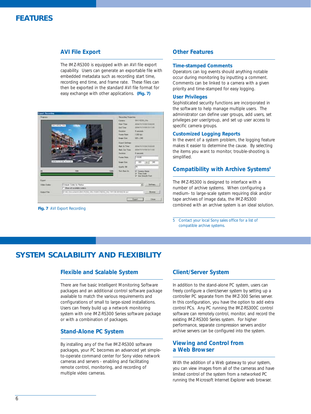### **FEATURES**

### **AVI File Export**

The IMZ-RS300 is equipped with an AVI file export capability. Users can generate an exportable file with embedded metadata such as recording start time, recording end time, and frame rate. These files can then be exported in the standard AVI file format for easy exchange with other applications. *(Fig. 7)*



*Fig. 7* AVI Export Recording

### **Other Features**

### **Time-stamped Comments**

Operators can log events should anything notable occur during monitoring by inputting a comment. Comments can be linked to a camera with a given priority and time-stamped for easy logging.

### **User Privileges**

Sophisticated security functions are incorporated in the software to help manage multiple users. The administrator can define user groups, add users, set privileges per user/group, and set up user access to specific camera groups.

### **Customized Logging Reports**

In the event of a system problem, the logging feature makes it easier to determine the cause. By selecting the items you want to monitor, trouble-shooting is simplified.

### **Compatibility with Archive Systems5**

The IMZ-RS300 is designed to interface with a number of archive systems. When configuring a medium- to large-scale system requiring disk and/or tape archives of image data, the IMZ-RS300 combined with an archive system is an ideal solution.

5 Contact your local Sony sales office for a list of compatible archive systems.

### **SYSTEM SCALABILITY AND FLEXIBILITY**

### **Flexible and Scalable System**

There are five basic Intelligent Monitoring Software packages and an additional control software package available to match the various requirements and configurations of small to large-sized installations. Users can freely build up a network monitoring system with one IMZ-RS300 Series software package or with a combination of packages.

### **Stand-Alone PC System**

By installing any of the five IMZ-RS300 software packages, your PC becomes an advanced yet simpleto-operate command center for Sony video network cameras and servers - enabling and facilitating remote control, monitoring, and recording of multiple video cameras.

### **Client/Server System**

In addition to the stand-alone PC system, users can freely configure a client/server system by setting up a controller PC separate from the IMZ-300 Series server. In this configuration, you have the option to add extra control PCs. Any PC running the IMZ-RS300C control software can remotely control, monitor, and record the existing IMZ-RS300 Series system. For higher performance, separate compression servers and/or archive servers can be configured into the system.

### **Viewing and Control from a Web Browser**

With the addition of a Web gateway to your system, you can view images from all of the cameras and have limited control of the system from a networked PC running the Microsoft Internet Explorer web browser.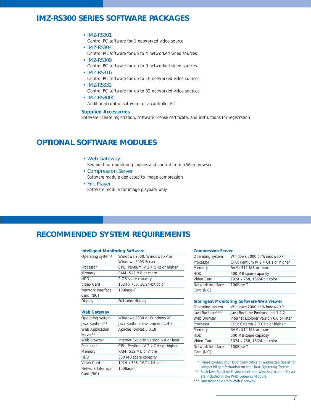### **IMZ-RS300 SERIES SOFTWARE PACKAGES**

### • IMZ-RS301

Control PC software for 1 networked video source

• IMZ-RS304

Control PC software for up to 4 networked video sources

- IMZ-RS309 Control PC software for up to 9 networked video sources
- IMZ-RS316
	- Control PC software for up to 16 networked video sources
- IMZ-RS332
	- Control PC software for up to 32 networked video sources
- IMZ-RS300C
	- Additional control software for a controller PC

### **Supplied Accessories**

Software license registration, software license certificate, and instructions for registration

## **OPTIONAL SOFTWARE MODULES**

### • Web Gateway

Required for monitoring images and control from a Web browser

- Compression Server Software module dedicated to image compression
- File Player
	- Software module for image playback only

### **RECOMMENDED SYSTEM REQUIREMENTS**

### **Intelligent Monitoring Software**

| Operating system*               | Windows 2000, Windows XP or            |
|---------------------------------|----------------------------------------|
|                                 | Windows 2003 Server                    |
| Processor                       | CPU: Pentium IV 2.4 GHz or higher      |
| Memory                          | RAM: 512 MB or more                    |
| <b>HDD</b>                      | 2 GB spare capacity                    |
| Video Card                      | 1024 x 768, 16/24-bit color            |
| Network Interface               | 100Base-T                              |
| Card (NIC)                      |                                        |
| Display                         | Full-color display                     |
|                                 |                                        |
| Web Gateway                     |                                        |
| Operating system                | Windows 2000 or Windows XP             |
| Java Runtime**                  | Java Runtime Environment 1.4.2         |
| Web Application                 | Apache Tomcat 5.0.18                   |
| Server**                        |                                        |
| Web Browser                     | Internet Explorer Version 6.0 or later |
| Processor                       | CPU: Pentium IV 2.4 GHz or higher      |
| Memory                          | RAM: 512 MB or more                    |
| <b>HDD</b>                      | 500 MB spare capacity                  |
| Video Card                      | 1024 x 768, 16/24-bit color            |
| Network Interface<br>Card (NIC) | 100Base-T                              |

#### **Compression Server**

| Operating system                | Windows 2000 or Windows XP        |
|---------------------------------|-----------------------------------|
| Processor                       | CPU: Pentium IV 2.4 GHz or higher |
| Memory                          | RAM: 512 MB or more               |
| <b>HDD</b>                      | 500 MB spare capacity             |
| Video Card                      | 1024 x 768, 16/24-bit color       |
| Network Interface<br>Card (NIC) | 100Base-T                         |

#### **Intelligent Monitoring Software Web Viewer**

| Operating system  | Windows 2000 or Windows XP             |
|-------------------|----------------------------------------|
| Java Runtime***   | Java Runtime Environment 1.4.2         |
| Web Browser       | Internet Explorer Version 6.0 or later |
| Processor         | CPU: Celeron 2.0 GHz or higher         |
| Memory            | RAM: 512 MB or more                    |
| <b>HDD</b>        | 500 MB spare capacity                  |
| Video Card        | 1024 x 768, 16/24-bit color            |
| Network Interface | 100Base-T                              |
| Card (NIC)        |                                        |

\* Please contact your local Sony office or authorized dealer for compatibility information on the Linux Operating System.

\*\* Both Java Runtime Environment and Web Application Server are included in the Web Gateway Module.

\*\*\* Downloadable from Web Gateway.